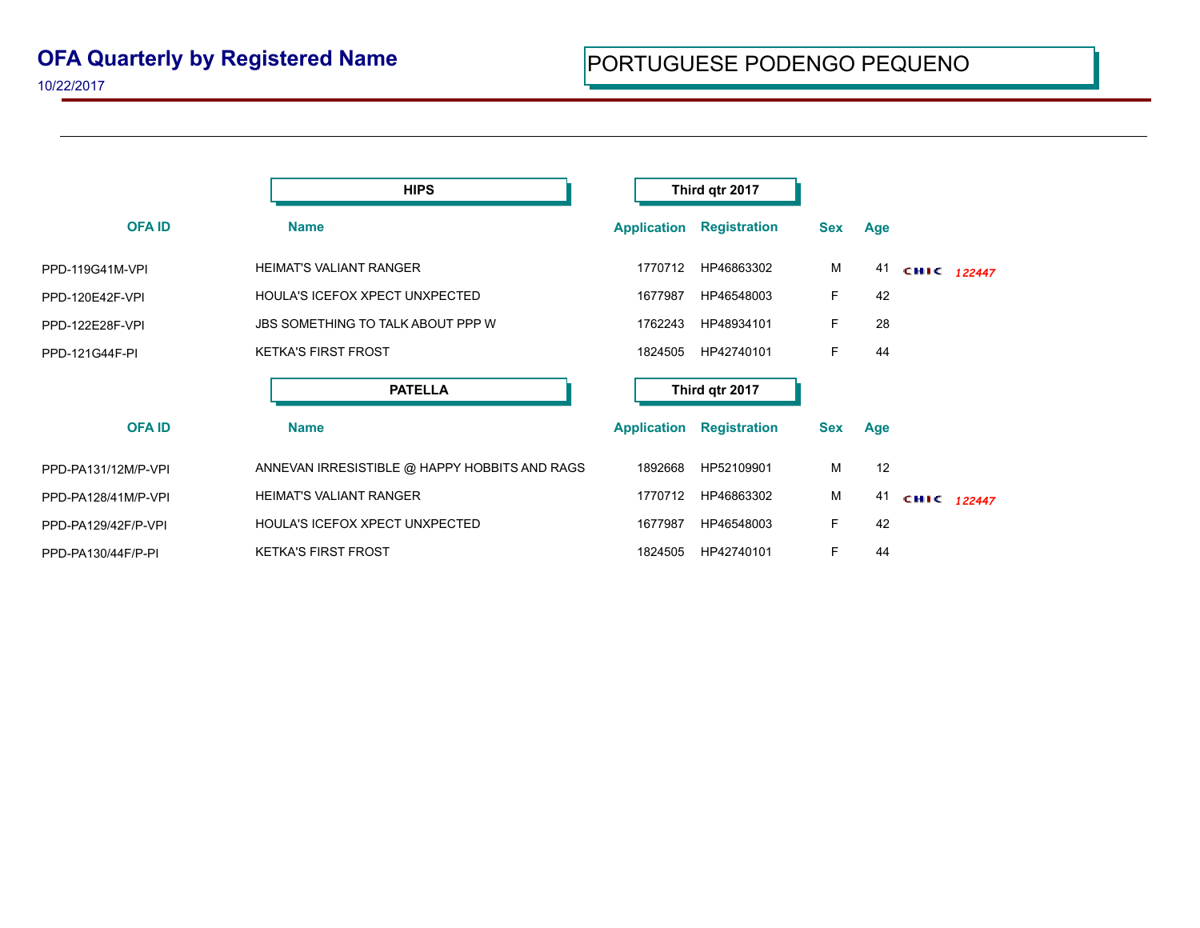## **OFA Quarterly by Registered Name**

10/22/2017

|                     | <b>HIPS</b>                                   | Third qtr 2017     |                     |            |     |             |  |
|---------------------|-----------------------------------------------|--------------------|---------------------|------------|-----|-------------|--|
| <b>OFAID</b>        | <b>Name</b>                                   | <b>Application</b> | <b>Registration</b> | <b>Sex</b> | Age |             |  |
| PPD-119G41M-VPI     | <b>HEIMAT'S VALIANT RANGER</b>                | 1770712            | HP46863302          | М          | 41  | CHIC 122447 |  |
| PPD-120E42F-VPI     | HOULA'S ICEFOX XPECT UNXPECTED                | 1677987            | HP46548003          | F.         | 42  |             |  |
| PPD-122E28F-VPI     | <b>JBS SOMETHING TO TALK ABOUT PPP W</b>      | 1762243            | HP48934101          | F.         | 28  |             |  |
| PPD-121G44F-PI      | <b>KETKA'S FIRST FROST</b>                    | 1824505            | HP42740101          | F          | 44  |             |  |
|                     | <b>PATELLA</b>                                | Third qtr 2017     |                     |            |     |             |  |
| <b>OFA ID</b>       | <b>Name</b>                                   | <b>Application</b> | <b>Registration</b> | <b>Sex</b> | Age |             |  |
| PPD-PA131/12M/P-VPI | ANNEVAN IRRESISTIBLE @ HAPPY HOBBITS AND RAGS | 1892668            | HP52109901          | M          | 12  |             |  |
| PPD-PA128/41M/P-VPI | <b>HEIMAT'S VALIANT RANGER</b>                | 1770712            | HP46863302          | M          | 41  | CHIC 122447 |  |
| PPD-PA129/42F/P-VPI | HOULA'S ICEFOX XPECT UNXPECTED                | 1677987            | HP46548003          | F          | 42  |             |  |
| PPD-PA130/44F/P-PI  | <b>KETKA'S FIRST FROST</b>                    | 1824505            | HP42740101          | F.         | 44  |             |  |